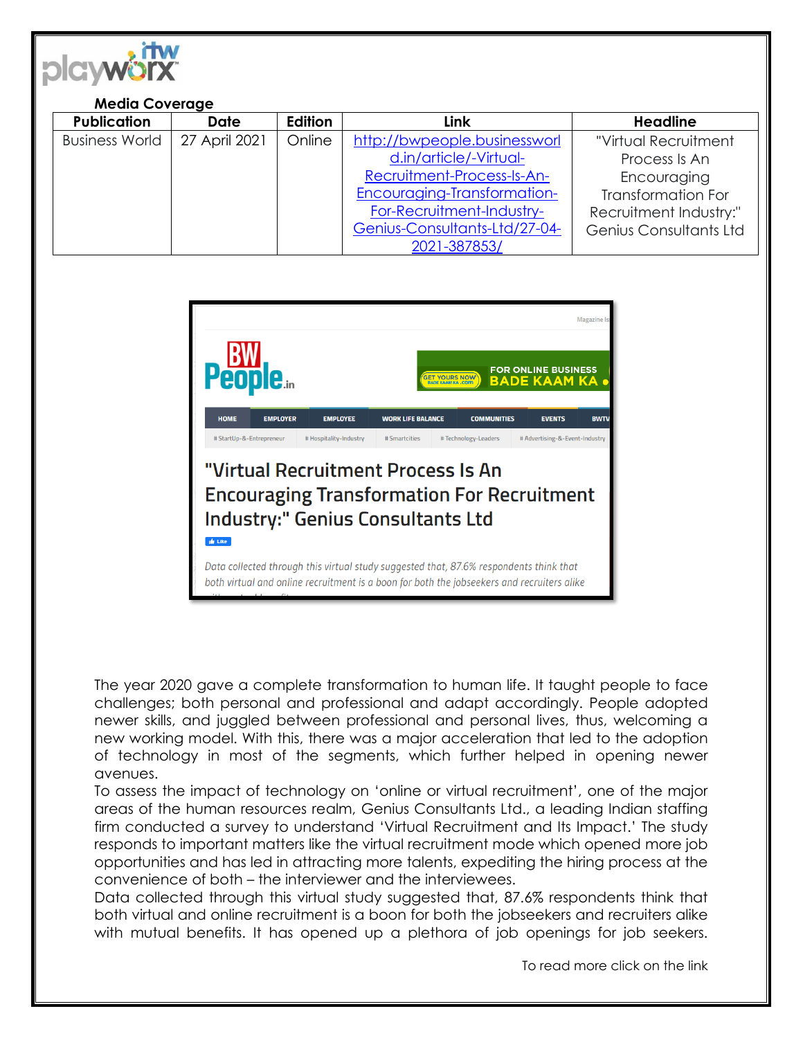

## **Media Coverage**

| <b>Publication</b>    | <b>Date</b>   | Edition | Link                          | <b>Headline</b>           |
|-----------------------|---------------|---------|-------------------------------|---------------------------|
| <b>Business World</b> | 27 April 2021 | Online  | http://bwpeople.businessworl  | "Virtual Recruitment      |
|                       |               |         | d.in/article/-Virtual-        | Process Is An             |
|                       |               |         | Recruitment-Process-Is-An-    | Encouraging               |
|                       |               |         | Encouraging-Transformation-   | <b>Transformation For</b> |
|                       |               |         | For-Recruitment-Industry-     | Recruitment Industry:"    |
|                       |               |         | Genius-Consultants-Ltd/27-04- | Genius Consultants Ltd    |
|                       |               |         | 2021-387853/                  |                           |



The year 2020 gave a complete transformation to human life. It taught people to face challenges; both personal and professional and adapt accordingly. People adopted newer skills, and juggled between professional and personal lives, thus, welcoming a new working model. With this, there was a major acceleration that led to the adoption of technology in most of the segments, which further helped in opening newer avenues.

To assess the impact of technology on 'online or virtual recruitment', one of the major areas of the human resources realm, Genius Consultants Ltd., a leading Indian staffing firm conducted a survey to understand 'Virtual Recruitment and Its Impact.' The study responds to important matters like the virtual recruitment mode which opened more job opportunities and has led in attracting more talents, expediting the hiring process at the convenience of both – the interviewer and the interviewees.

Data collected through this virtual study suggested that, 87.6% respondents think that both virtual and online recruitment is a boon for both the jobseekers and recruiters alike with mutual benefits. It has opened up a plethora of job openings for job seekers.

To read more click on the link